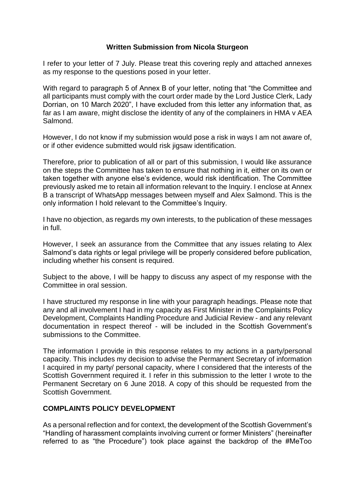## **Written Submission from Nicola Sturgeon**

I refer to your letter of 7 July. Please treat this covering reply and attached annexes as my response to the questions posed in your letter.

With regard to paragraph 5 of Annex B of your letter, noting that "the Committee and all participants must comply with the court order made by the Lord Justice Clerk, Lady Dorrian, on 10 March 2020", I have excluded from this letter any information that, as far as I am aware, might disclose the identity of any of the complainers in HMA v AEA Salmond.

However, I do not know if my submission would pose a risk in ways I am not aware of, or if other evidence submitted would risk jigsaw identification.

Therefore, prior to publication of all or part of this submission, I would like assurance on the steps the Committee has taken to ensure that nothing in it, either on its own or taken together with anyone else's evidence, would risk identification. The Committee previously asked me to retain all information relevant to the Inquiry. I enclose at Annex B a transcript of WhatsApp messages between myself and Alex Salmond. This is the only information I hold relevant to the Committee's Inquiry.

I have no objection, as regards my own interests, to the publication of these messages in full.

However, I seek an assurance from the Committee that any issues relating to Alex Salmond's data rights or legal privilege will be properly considered before publication, including whether his consent is required.

Subject to the above, I will be happy to discuss any aspect of my response with the Committee in oral session.

I have structured my response in line with your paragraph headings. Please note that any and all involvement I had in my capacity as First Minister in the Complaints Policy Development, Complaints Handling Procedure and Judicial Review - and any relevant documentation in respect thereof - will be included in the Scottish Government's submissions to the Committee.

The information I provide in this response relates to my actions in a party/personal capacity. This includes my decision to advise the Permanent Secretary of information I acquired in my party/ personal capacity, where I considered that the interests of the Scottish Government required it. I refer in this submission to the letter I wrote to the Permanent Secretary on 6 June 2018. A copy of this should be requested from the Scottish Government.

## **COMPLAINTS POLICY DEVELOPMENT**

As a personal reflection and for context, the development of the Scottish Government's "Handling of harassment complaints involving current or former Ministers" (hereinafter referred to as "the Procedure") took place against the backdrop of the #MeToo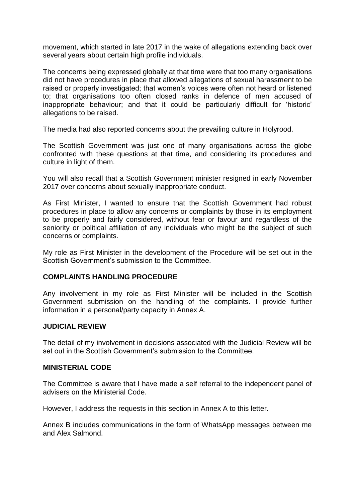movement, which started in late 2017 in the wake of allegations extending back over several years about certain high profile individuals.

The concerns being expressed globally at that time were that too many organisations did not have procedures in place that allowed allegations of sexual harassment to be raised or properly investigated; that women's voices were often not heard or listened to; that organisations too often closed ranks in defence of men accused of inappropriate behaviour; and that it could be particularly difficult for 'historic' allegations to be raised.

The media had also reported concerns about the prevailing culture in Holyrood.

The Scottish Government was just one of many organisations across the globe confronted with these questions at that time, and considering its procedures and culture in light of them.

You will also recall that a Scottish Government minister resigned in early November 2017 over concerns about sexually inappropriate conduct.

As First Minister, I wanted to ensure that the Scottish Government had robust procedures in place to allow any concerns or complaints by those in its employment to be properly and fairly considered, without fear or favour and regardless of the seniority or political affiliation of any individuals who might be the subject of such concerns or complaints.

My role as First Minister in the development of the Procedure will be set out in the Scottish Government's submission to the Committee.

## **COMPLAINTS HANDLING PROCEDURE**

Any involvement in my role as First Minister will be included in the Scottish Government submission on the handling of the complaints. I provide further information in a personal/party capacity in Annex A.

#### **JUDICIAL REVIEW**

The detail of my involvement in decisions associated with the Judicial Review will be set out in the Scottish Government's submission to the Committee.

#### **MINISTERIAL CODE**

The Committee is aware that I have made a self referral to the independent panel of advisers on the Ministerial Code.

However, I address the requests in this section in Annex A to this letter.

Annex B includes communications in the form of WhatsApp messages between me and Alex Salmond.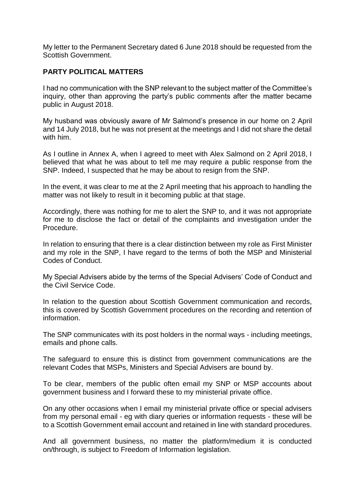My letter to the Permanent Secretary dated 6 June 2018 should be requested from the Scottish Government.

# **PARTY POLITICAL MATTERS**

I had no communication with the SNP relevant to the subject matter of the Committee's inquiry, other than approving the party's public comments after the matter became public in August 2018.

My husband was obviously aware of Mr Salmond's presence in our home on 2 April and 14 July 2018, but he was not present at the meetings and I did not share the detail with him.

As I outline in Annex A, when I agreed to meet with Alex Salmond on 2 April 2018, I believed that what he was about to tell me may require a public response from the SNP. Indeed, I suspected that he may be about to resign from the SNP.

In the event, it was clear to me at the 2 April meeting that his approach to handling the matter was not likely to result in it becoming public at that stage.

Accordingly, there was nothing for me to alert the SNP to, and it was not appropriate for me to disclose the fact or detail of the complaints and investigation under the Procedure.

In relation to ensuring that there is a clear distinction between my role as First Minister and my role in the SNP, I have regard to the terms of both the MSP and Ministerial Codes of Conduct.

My Special Advisers abide by the terms of the Special Advisers' Code of Conduct and the Civil Service Code.

In relation to the question about Scottish Government communication and records, this is covered by Scottish Government procedures on the recording and retention of information.

The SNP communicates with its post holders in the normal ways - including meetings, emails and phone calls.

The safeguard to ensure this is distinct from government communications are the relevant Codes that MSPs, Ministers and Special Advisers are bound by.

To be clear, members of the public often email my SNP or MSP accounts about government business and I forward these to my ministerial private office.

On any other occasions when I email my ministerial private office or special advisers from my personal email - eg with diary queries or information requests - these will be to a Scottish Government email account and retained in line with standard procedures.

And all government business, no matter the platform/medium it is conducted on/through, is subject to Freedom of Information legislation.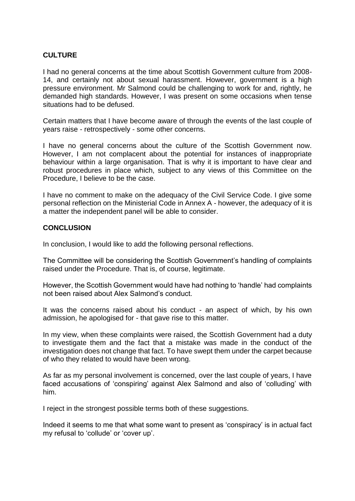# **CULTURE**

I had no general concerns at the time about Scottish Government culture from 2008- 14, and certainly not about sexual harassment. However, government is a high pressure environment. Mr Salmond could be challenging to work for and, rightly, he demanded high standards. However, I was present on some occasions when tense situations had to be defused.

Certain matters that I have become aware of through the events of the last couple of years raise - retrospectively - some other concerns.

I have no general concerns about the culture of the Scottish Government now. However, I am not complacent about the potential for instances of inappropriate behaviour within a large organisation. That is why it is important to have clear and robust procedures in place which, subject to any views of this Committee on the Procedure, I believe to be the case.

I have no comment to make on the adequacy of the Civil Service Code. I give some personal reflection on the Ministerial Code in Annex A - however, the adequacy of it is a matter the independent panel will be able to consider.

### **CONCLUSION**

In conclusion, I would like to add the following personal reflections.

The Committee will be considering the Scottish Government's handling of complaints raised under the Procedure. That is, of course, legitimate.

However, the Scottish Government would have had nothing to 'handle' had complaints not been raised about Alex Salmond's conduct.

It was the concerns raised about his conduct - an aspect of which, by his own admission, he apologised for - that gave rise to this matter.

In my view, when these complaints were raised, the Scottish Government had a duty to investigate them and the fact that a mistake was made in the conduct of the investigation does not change that fact. To have swept them under the carpet because of who they related to would have been wrong.

As far as my personal involvement is concerned, over the last couple of years, I have faced accusations of 'conspiring' against Alex Salmond and also of 'colluding' with him.

I reject in the strongest possible terms both of these suggestions.

Indeed it seems to me that what some want to present as 'conspiracy' is in actual fact my refusal to 'collude' or 'cover up'.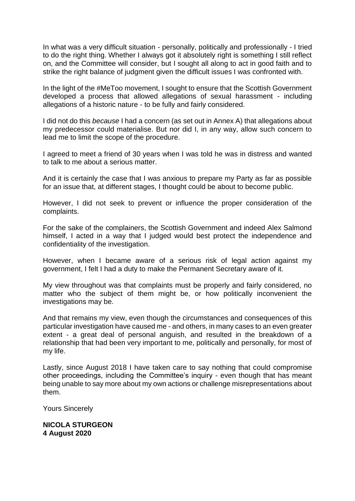In what was a very difficult situation - personally, politically and professionally - I tried to do the right thing. Whether I always got it absolutely right is something I still reflect on, and the Committee will consider, but I sought all along to act in good faith and to strike the right balance of judgment given the difficult issues I was confronted with.

In the light of the #MeToo movement, I sought to ensure that the Scottish Government developed a process that allowed allegations of sexual harassment - including allegations of a historic nature - to be fully and fairly considered.

I did not do this *because* I had a concern (as set out in Annex A) that allegations about my predecessor could materialise. But nor did I, in any way, allow such concern to lead me to limit the scope of the procedure.

I agreed to meet a friend of 30 years when I was told he was in distress and wanted to talk to me about a serious matter.

And it is certainly the case that I was anxious to prepare my Party as far as possible for an issue that, at different stages, I thought could be about to become public.

However, I did not seek to prevent or influence the proper consideration of the complaints.

For the sake of the complainers, the Scottish Government and indeed Alex Salmond himself, I acted in a way that I judged would best protect the independence and confidentiality of the investigation.

However, when I became aware of a serious risk of legal action against my government, I felt I had a duty to make the Permanent Secretary aware of it.

My view throughout was that complaints must be properly and fairly considered, no matter who the subject of them might be, or how politically inconvenient the investigations may be.

And that remains my view, even though the circumstances and consequences of this particular investigation have caused me - and others, in many cases to an even greater extent - a great deal of personal anguish, and resulted in the breakdown of a relationship that had been very important to me, politically and personally, for most of my life.

Lastly, since August 2018 I have taken care to say nothing that could compromise other proceedings, including the Committee's inquiry - even though that has meant being unable to say more about my own actions or challenge misrepresentations about them.

Yours Sincerely

**NICOLA STURGEON 4 August 2020**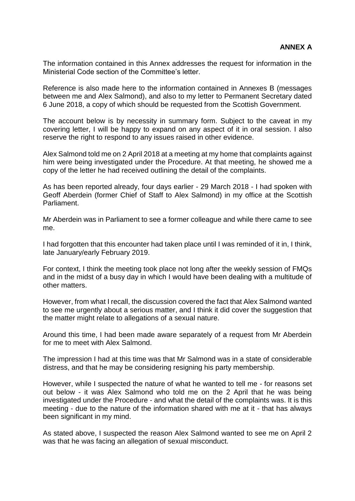The information contained in this Annex addresses the request for information in the Ministerial Code section of the Committee's letter.

Reference is also made here to the information contained in Annexes B (messages between me and Alex Salmond), and also to my letter to Permanent Secretary dated 6 June 2018, a copy of which should be requested from the Scottish Government.

The account below is by necessity in summary form. Subject to the caveat in my covering letter, I will be happy to expand on any aspect of it in oral session. I also reserve the right to respond to any issues raised in other evidence.

Alex Salmond told me on 2 April 2018 at a meeting at my home that complaints against him were being investigated under the Procedure. At that meeting, he showed me a copy of the letter he had received outlining the detail of the complaints.

As has been reported already, four days earlier - 29 March 2018 - I had spoken with Geoff Aberdein (former Chief of Staff to Alex Salmond) in my office at the Scottish Parliament.

Mr Aberdein was in Parliament to see a former colleague and while there came to see me.

I had forgotten that this encounter had taken place until I was reminded of it in, I think, late January/early February 2019.

For context, I think the meeting took place not long after the weekly session of FMQs and in the midst of a busy day in which I would have been dealing with a multitude of other matters.

However, from what I recall, the discussion covered the fact that Alex Salmond wanted to see me urgently about a serious matter, and I think it did cover the suggestion that the matter might relate to allegations of a sexual nature.

Around this time, I had been made aware separately of a request from Mr Aberdein for me to meet with Alex Salmond.

The impression I had at this time was that Mr Salmond was in a state of considerable distress, and that he may be considering resigning his party membership.

However, while I suspected the nature of what he wanted to tell me - for reasons set out below - it was Alex Salmond who told me on the 2 April that he was being investigated under the Procedure - and what the detail of the complaints was. It is this meeting - due to the nature of the information shared with me at it - that has always been significant in my mind.

As stated above, I suspected the reason Alex Salmond wanted to see me on April 2 was that he was facing an allegation of sexual misconduct.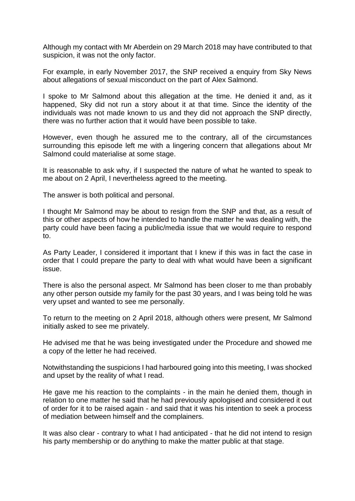Although my contact with Mr Aberdein on 29 March 2018 may have contributed to that suspicion, it was not the only factor.

For example, in early November 2017, the SNP received a enquiry from Sky News about allegations of sexual misconduct on the part of Alex Salmond.

I spoke to Mr Salmond about this allegation at the time. He denied it and, as it happened, Sky did not run a story about it at that time. Since the identity of the individuals was not made known to us and they did not approach the SNP directly, there was no further action that it would have been possible to take.

However, even though he assured me to the contrary, all of the circumstances surrounding this episode left me with a lingering concern that allegations about Mr Salmond could materialise at some stage.

It is reasonable to ask why, if I suspected the nature of what he wanted to speak to me about on 2 April, I nevertheless agreed to the meeting.

The answer is both political and personal.

I thought Mr Salmond may be about to resign from the SNP and that, as a result of this or other aspects of how he intended to handle the matter he was dealing with, the party could have been facing a public/media issue that we would require to respond to.

As Party Leader, I considered it important that I knew if this was in fact the case in order that I could prepare the party to deal with what would have been a significant issue.

There is also the personal aspect. Mr Salmond has been closer to me than probably any other person outside my family for the past 30 years, and I was being told he was very upset and wanted to see me personally.

To return to the meeting on 2 April 2018, although others were present, Mr Salmond initially asked to see me privately.

He advised me that he was being investigated under the Procedure and showed me a copy of the letter he had received.

Notwithstanding the suspicions I had harboured going into this meeting, I was shocked and upset by the reality of what I read.

He gave me his reaction to the complaints - in the main he denied them, though in relation to one matter he said that he had previously apologised and considered it out of order for it to be raised again - and said that it was his intention to seek a process of mediation between himself and the complainers.

It was also clear - contrary to what I had anticipated - that he did not intend to resign his party membership or do anything to make the matter public at that stage.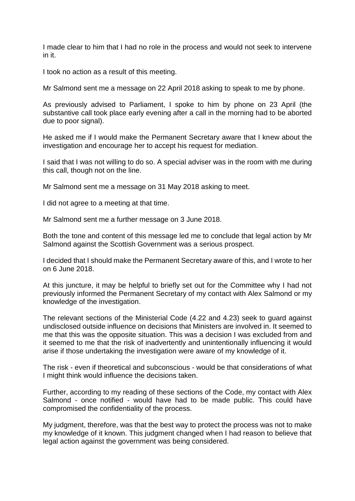I made clear to him that I had no role in the process and would not seek to intervene in it.

I took no action as a result of this meeting.

Mr Salmond sent me a message on 22 April 2018 asking to speak to me by phone.

As previously advised to Parliament, I spoke to him by phone on 23 April (the substantive call took place early evening after a call in the morning had to be aborted due to poor signal).

He asked me if I would make the Permanent Secretary aware that I knew about the investigation and encourage her to accept his request for mediation.

I said that I was not willing to do so. A special adviser was in the room with me during this call, though not on the line.

Mr Salmond sent me a message on 31 May 2018 asking to meet.

I did not agree to a meeting at that time.

Mr Salmond sent me a further message on 3 June 2018.

Both the tone and content of this message led me to conclude that legal action by Mr Salmond against the Scottish Government was a serious prospect.

I decided that I should make the Permanent Secretary aware of this, and I wrote to her on 6 June 2018.

At this juncture, it may be helpful to briefly set out for the Committee why I had not previously informed the Permanent Secretary of my contact with Alex Salmond or my knowledge of the investigation.

The relevant sections of the Ministerial Code (4.22 and 4.23) seek to guard against undisclosed outside influence on decisions that Ministers are involved in. It seemed to me that this was the opposite situation. This was a decision I was excluded from and it seemed to me that the risk of inadvertently and unintentionally influencing it would arise if those undertaking the investigation were aware of my knowledge of it.

The risk - even if theoretical and subconscious - would be that considerations of what I might think would influence the decisions taken.

Further, according to my reading of these sections of the Code, my contact with Alex Salmond - once notified - would have had to be made public. This could have compromised the confidentiality of the process.

My judgment, therefore, was that the best way to protect the process was not to make my knowledge of it known. This judgment changed when I had reason to believe that legal action against the government was being considered.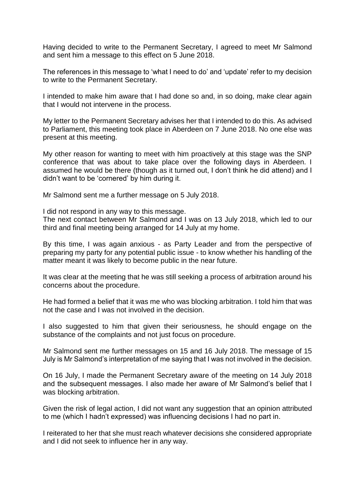Having decided to write to the Permanent Secretary, I agreed to meet Mr Salmond and sent him a message to this effect on 5 June 2018.

The references in this message to 'what I need to do' and 'update' refer to my decision to write to the Permanent Secretary.

I intended to make him aware that I had done so and, in so doing, make clear again that I would not intervene in the process.

My letter to the Permanent Secretary advises her that I intended to do this. As advised to Parliament, this meeting took place in Aberdeen on 7 June 2018. No one else was present at this meeting.

My other reason for wanting to meet with him proactively at this stage was the SNP conference that was about to take place over the following days in Aberdeen. I assumed he would be there (though as it turned out, I don't think he did attend) and I didn't want to be 'cornered' by him during it.

Mr Salmond sent me a further message on 5 July 2018.

I did not respond in any way to this message.

The next contact between Mr Salmond and I was on 13 July 2018, which led to our third and final meeting being arranged for 14 July at my home.

By this time, I was again anxious - as Party Leader and from the perspective of preparing my party for any potential public issue - to know whether his handling of the matter meant it was likely to become public in the near future.

It was clear at the meeting that he was still seeking a process of arbitration around his concerns about the procedure.

He had formed a belief that it was me who was blocking arbitration. I told him that was not the case and I was not involved in the decision.

I also suggested to him that given their seriousness, he should engage on the substance of the complaints and not just focus on procedure.

Mr Salmond sent me further messages on 15 and 16 July 2018. The message of 15 July is Mr Salmond's interpretation of me saying that I was not involved in the decision.

On 16 July, I made the Permanent Secretary aware of the meeting on 14 July 2018 and the subsequent messages. I also made her aware of Mr Salmond's belief that I was blocking arbitration.

Given the risk of legal action, I did not want any suggestion that an opinion attributed to me (which I hadn't expressed) was influencing decisions I had no part in.

I reiterated to her that she must reach whatever decisions she considered appropriate and I did not seek to influence her in any way.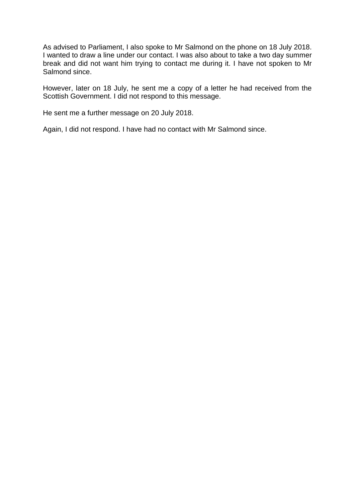As advised to Parliament, I also spoke to Mr Salmond on the phone on 18 July 2018. I wanted to draw a line under our contact. I was also about to take a two day summer break and did not want him trying to contact me during it. I have not spoken to Mr Salmond since.

However, later on 18 July, he sent me a copy of a letter he had received from the Scottish Government. I did not respond to this message.

He sent me a further message on 20 July 2018.

Again, I did not respond. I have had no contact with Mr Salmond since.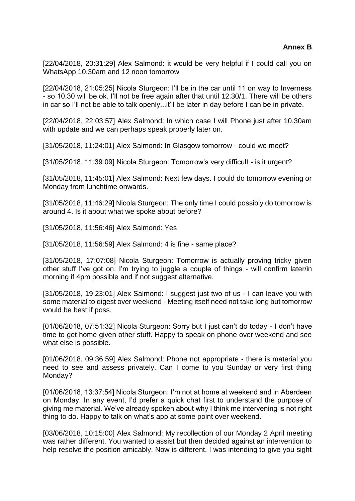[22/04/2018, 20:31:29] Alex Salmond: it would be very helpful if I could call you on WhatsApp 10.30am and 12 noon tomorrow

[22/04/2018, 21:05:25] Nicola Sturgeon: I'll be in the car until 11 on way to Inverness - so 10.30 will be ok. I'll not be free again after that until 12.30/1. There will be others in car so I'll not be able to talk openly...it'll be later in day before I can be in private.

[22/04/2018, 22:03:57] Alex Salmond: In which case I will Phone just after 10.30am with update and we can perhaps speak properly later on.

[31/05/2018, 11:24:01] Alex Salmond: In Glasgow tomorrow - could we meet?

[31/05/2018, 11:39:09] Nicola Sturgeon: Tomorrow's very difficult - is it urgent?

[31/05/2018, 11:45:01] Alex Salmond: Next few days. I could do tomorrow evening or Monday from lunchtime onwards.

[31/05/2018, 11:46:29] Nicola Sturgeon: The only time I could possibly do tomorrow is around 4. Is it about what we spoke about before?

[31/05/2018, 11:56:46] Alex Salmond: Yes

[31/05/2018, 11:56:59] Alex Salmond: 4 is fine - same place?

[31/05/2018, 17:07:08] Nicola Sturgeon: Tomorrow is actually proving tricky given other stuff I've got on. I'm trying to juggle a couple of things - will confirm later/in morning if 4pm possible and if not suggest alternative.

[31/05/2018, 19:23:01] Alex Salmond: I suggest just two of us - I can leave you with some material to digest over weekend - Meeting itself need not take long but tomorrow would be best if poss.

[01/06/2018, 07:51:32] Nicola Sturgeon: Sorry but I just can't do today - I don't have time to get home given other stuff. Happy to speak on phone over weekend and see what else is possible.

[01/06/2018, 09:36:59] Alex Salmond: Phone not appropriate - there is material you need to see and assess privately. Can I come to you Sunday or very first thing Monday?

[01/06/2018, 13:37:54] Nicola Sturgeon: I'm not at home at weekend and in Aberdeen on Monday. In any event, I'd prefer a quick chat first to understand the purpose of giving me material. We've already spoken about why I think me intervening is not right thing to do. Happy to talk on what's app at some point over weekend.

[03/06/2018, 10:15:00] Alex Salmond: My recollection of our Monday 2 April meeting was rather different. You wanted to assist but then decided against an intervention to help resolve the position amicably. Now is different. I was intending to give you sight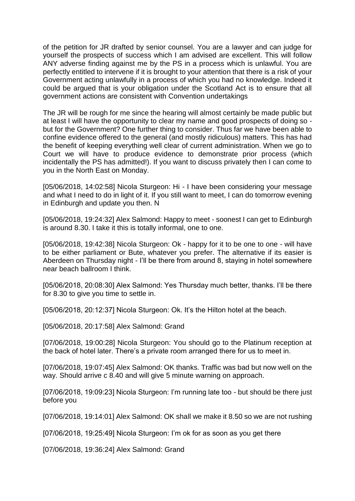of the petition for JR drafted by senior counsel. You are a lawyer and can judge for yourself the prospects of success which I am advised are excellent. This will follow ANY adverse finding against me by the PS in a process which is unlawful. You are perfectly entitled to intervene if it is brought to your attention that there is a risk of your Government acting unlawfully in a process of which you had no knowledge. Indeed it could be argued that is your obligation under the Scotland Act is to ensure that all government actions are consistent with Convention undertakings

The JR will be rough for me since the hearing will almost certainly be made public but at least I will have the opportunity to clear my name and good prospects of doing so but for the Government? One further thing to consider. Thus far we have been able to confine evidence offered to the general (and mostly ridiculous) matters. This has had the benefit of keeping everything well clear of current administration. When we go to Court we will have to produce evidence to demonstrate prior process (which incidentally the PS has admitted!). If you want to discuss privately then I can come to you in the North East on Monday.

[05/06/2018, 14:02:58] Nicola Sturgeon: Hi - I have been considering your message and what I need to do in light of it. If you still want to meet, I can do tomorrow evening in Edinburgh and update you then. N

[05/06/2018, 19:24:32] Alex Salmond: Happy to meet - soonest I can get to Edinburgh is around 8.30. I take it this is totally informal, one to one.

[05/06/2018, 19:42:38] Nicola Sturgeon: Ok - happy for it to be one to one - will have to be either parliament or Bute, whatever you prefer. The alternative if its easier is Aberdeen on Thursday night - I'll be there from around 8, staying in hotel somewhere near beach ballroom I think.

[05/06/2018, 20:08:30] Alex Salmond: Yes Thursday much better, thanks. I'll be there for 8.30 to give you time to settle in.

[05/06/2018, 20:12:37] Nicola Sturgeon: Ok. It's the Hilton hotel at the beach.

[05/06/2018, 20:17:58] Alex Salmond: Grand

[07/06/2018, 19:00:28] Nicola Sturgeon: You should go to the Platinum reception at the back of hotel later. There's a private room arranged there for us to meet in.

[07/06/2018, 19:07:45] Alex Salmond: OK thanks. Traffic was bad but now well on the way. Should arrive c 8.40 and will give 5 minute warning on approach.

[07/06/2018, 19:09:23] Nicola Sturgeon: I'm running late too - but should be there just before you

[07/06/2018, 19:14:01] Alex Salmond: OK shall we make it 8.50 so we are not rushing

[07/06/2018, 19:25:49] Nicola Sturgeon: I'm ok for as soon as you get there

[07/06/2018, 19:36:24] Alex Salmond: Grand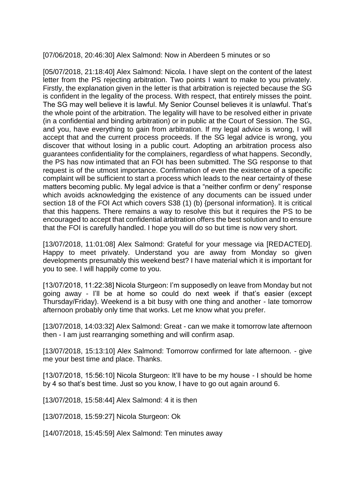[07/06/2018, 20:46:30] Alex Salmond: Now in Aberdeen 5 minutes or so

[05/07/2018, 21:18:40] Alex Salmond: Nicola. I have slept on the content of the latest letter from the PS rejecting arbitration. Two points I want to make to you privately. Firstly, the explanation given in the letter is that arbitration is rejected because the SG is confident in the legality of the process. With respect, that entirely misses the point. The SG may well believe it is lawful. My Senior Counsel believes it is unlawful. That's the whole point of the arbitration. The legality will have to be resolved either in private (in a confidential and binding arbitration) or in public at the Court of Session. The SG, and you, have everything to gain from arbitration. If my legal advice is wrong, I will accept that and the current process proceeds. If the SG legal advice is wrong, you discover that without losing in a public court. Adopting an arbitration process also guarantees confidentiality for the complainers, regardless of what happens. Secondly, the PS has now intimated that an FOI has been submitted. The SG response to that request is of the utmost importance. Confirmation of even the existence of a specific complaint will be sufficient to start a process which leads to the near certainty of these matters becoming public. My legal advice is that a "neither confirm or deny" response which avoids acknowledging the existence of any documents can be issued under section 18 of the FOI Act which covers S38 (1) (b) {personal information}. It is critical that this happens. There remains a way to resolve this but it requires the PS to be encouraged to accept that confidential arbitration offers the best solution and to ensure that the FOI is carefully handled. I hope you will do so but time is now very short.

[13/07/2018, 11:01:08] Alex Salmond: Grateful for your message via [REDACTED]. Happy to meet privately. Understand you are away from Monday so given developments presumably this weekend best? I have material which it is important for you to see. I will happily come to you.

[13/07/2018, 11:22:38] Nicola Sturgeon: I'm supposedly on leave from Monday but not going away - I'll be at home so could do next week if that's easier (except Thursday/Friday). Weekend is a bit busy with one thing and another - late tomorrow afternoon probably only time that works. Let me know what you prefer.

[13/07/2018, 14:03:32] Alex Salmond: Great - can we make it tomorrow late afternoon then - I am just rearranging something and will confirm asap.

[13/07/2018, 15:13:10] Alex Salmond: Tomorrow confirmed for late afternoon. - give me your best time and place. Thanks.

[13/07/2018, 15:56:10] Nicola Sturgeon: It'll have to be my house - I should be home by 4 so that's best time. Just so you know, I have to go out again around 6.

[13/07/2018, 15:58:44] Alex Salmond: 4 it is then

[13/07/2018, 15:59:27] Nicola Sturgeon: Ok

[14/07/2018, 15:45:59] Alex Salmond: Ten minutes away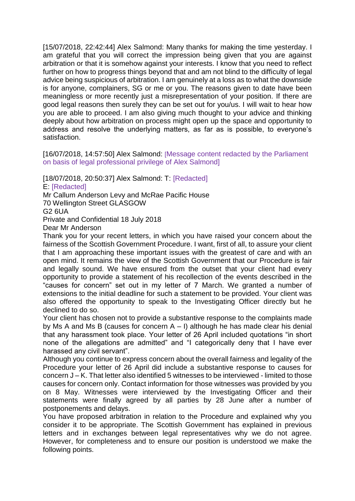[15/07/2018, 22:42:44] Alex Salmond: Many thanks for making the time yesterday. I am grateful that you will correct the impression being given that you are against arbitration or that it is somehow against your interests. I know that you need to reflect further on how to progress things beyond that and am not blind to the difficulty of legal advice being suspicious of arbitration. I am genuinely at a loss as to what the downside is for anyone, complainers, SG or me or you. The reasons given to date have been meaningless or more recently just a misrepresentation of your position. If there are good legal reasons then surely they can be set out for you/us. I will wait to hear how you are able to proceed. I am also giving much thought to your advice and thinking deeply about how arbitration on process might open up the space and opportunity to address and resolve the underlying matters, as far as is possible, to everyone's satisfaction.

[16/07/2018, 14:57:50] Alex Salmond: [Message content redacted by the Parliament on basis of legal professional privilege of Alex Salmond]

[18/07/2018, 20:50:37] Alex Salmond: T: [Redacted] E: [Redacted] Mr Callum Anderson Levy and McRae Pacific House 70 Wellington Street GLASGOW G2 6UA Private and Confidential 18 July 2018 Dear Mr Anderson

Thank you for your recent letters, in which you have raised your concern about the fairness of the Scottish Government Procedure. I want, first of all, to assure your client that I am approaching these important issues with the greatest of care and with an open mind. It remains the view of the Scottish Government that our Procedure is fair and legally sound. We have ensured from the outset that your client had every opportunity to provide a statement of his recollection of the events described in the "causes for concern" set out in my letter of 7 March. We granted a number of extensions to the initial deadline for such a statement to be provided. Your client was also offered the opportunity to speak to the Investigating Officer directly but he declined to do so.

Your client has chosen not to provide a substantive response to the complaints made by Ms A and Ms B (causes for concern  $A - I$ ) although he has made clear his denial that any harassment took place. Your letter of 26 April included quotations "in short none of the allegations are admitted" and "I categorically deny that I have ever harassed any civil servant".

Although you continue to express concern about the overall fairness and legality of the Procedure your letter of 26 April did include a substantive response to causes for concern J – K. That letter also identified 5 witnesses to be interviewed - limited to those causes for concern only. Contact information for those witnesses was provided by you on 8 May. Witnesses were interviewed by the Investigating Officer and their statements were finally agreed by all parties by 28 June after a number of postponements and delays.

You have proposed arbitration in relation to the Procedure and explained why you consider it to be appropriate. The Scottish Government has explained in previous letters and in exchanges between legal representatives why we do not agree. However, for completeness and to ensure our position is understood we make the following points.